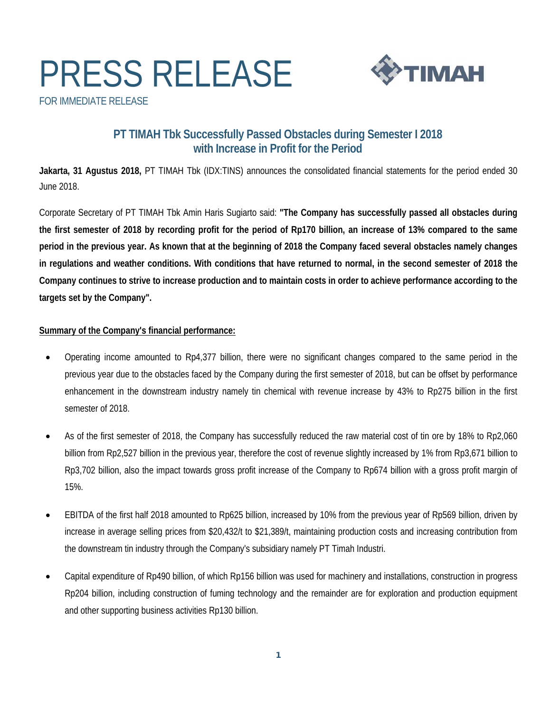# PRESS RELEASE FOR IMMEDIATE RELEASE



### **PT TIMAH Tbk Successfully Passed Obstacles during Semester I 2018 with Increase in Profit for the Period**

**Jakarta, 31 Agustus 2018,** PT TIMAH Tbk (IDX:TINS) announces the consolidated financial statements for the period ended 30 June 2018.

Corporate Secretary of PT TIMAH Tbk Amin Haris Sugiarto said: **"The Company has successfully passed all obstacles during the first semester of 2018 by recording profit for the period of Rp170 billion, an increase of 13% compared to the same period in the previous year. As known that at the beginning of 2018 the Company faced several obstacles namely changes in regulations and weather conditions. With conditions that have returned to normal, in the second semester of 2018 the Company continues to strive to increase production and to maintain costs in order to achieve performance according to the targets set by the Company".** 

### **Summary of the Company's financial performance:**

- Operating income amounted to Rp4,377 billion, there were no significant changes compared to the same period in the previous year due to the obstacles faced by the Company during the first semester of 2018, but can be offset by performance enhancement in the downstream industry namely tin chemical with revenue increase by 43% to Rp275 billion in the first semester of 2018.
- As of the first semester of 2018, the Company has successfully reduced the raw material cost of tin ore by 18% to Rp2,060 billion from Rp2,527 billion in the previous year, therefore the cost of revenue slightly increased by 1% from Rp3,671 billion to Rp3,702 billion, also the impact towards gross profit increase of the Company to Rp674 billion with a gross profit margin of 15%.
- EBITDA of the first half 2018 amounted to Rp625 billion, increased by 10% from the previous year of Rp569 billion, driven by increase in average selling prices from \$20,432/t to \$21,389/t, maintaining production costs and increasing contribution from the downstream tin industry through the Company's subsidiary namely PT Timah Industri.
- Capital expenditure of Rp490 billion, of which Rp156 billion was used for machinery and installations, construction in progress Rp204 billion, including construction of fuming technology and the remainder are for exploration and production equipment and other supporting business activities Rp130 billion.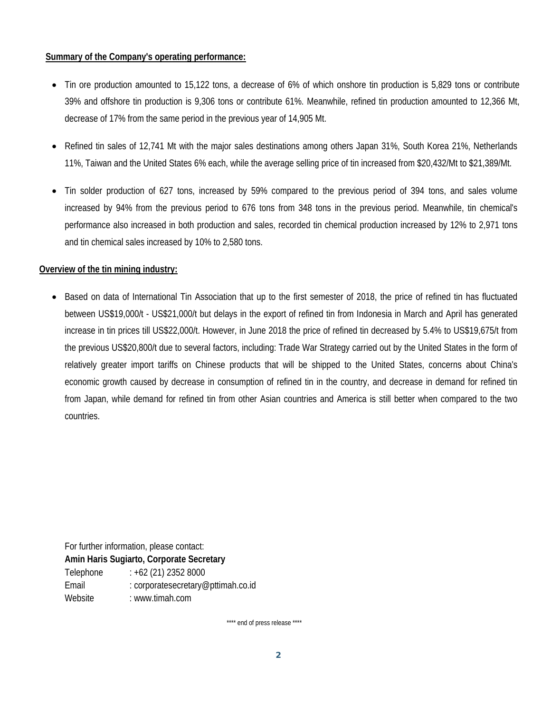### **Summary of the Company's operating performance:**

- Tin ore production amounted to 15,122 tons, a decrease of 6% of which onshore tin production is 5,829 tons or contribute 39% and offshore tin production is 9,306 tons or contribute 61%. Meanwhile, refined tin production amounted to 12,366 Mt, decrease of 17% from the same period in the previous year of 14,905 Mt.
- Refined tin sales of 12,741 Mt with the major sales destinations among others Japan 31%, South Korea 21%, Netherlands 11%, Taiwan and the United States 6% each, while the average selling price of tin increased from \$20,432/Mt to \$21,389/Mt.
- Tin solder production of 627 tons, increased by 59% compared to the previous period of 394 tons, and sales volume increased by 94% from the previous period to 676 tons from 348 tons in the previous period. Meanwhile, tin chemical's performance also increased in both production and sales, recorded tin chemical production increased by 12% to 2,971 tons and tin chemical sales increased by 10% to 2,580 tons.

### **Overview of the tin mining industry:**

• Based on data of International Tin Association that up to the first semester of 2018, the price of refined tin has fluctuated between US\$19,000/t - US\$21,000/t but delays in the export of refined tin from Indonesia in March and April has generated increase in tin prices till US\$22,000/t. However, in June 2018 the price of refined tin decreased by 5.4% to US\$19,675/t from the previous US\$20,800/t due to several factors, including: Trade War Strategy carried out by the United States in the form of relatively greater import tariffs on Chinese products that will be shipped to the United States, concerns about China's economic growth caused by decrease in consumption of refined tin in the country, and decrease in demand for refined tin from Japan, while demand for refined tin from other Asian countries and America is still better when compared to the two countries.

For further information, please contact: **Amin Haris Sugiarto, Corporate Secretary**  Telephone : +62 (21) 2352 8000 Email : corporatesecretary@pttimah.co.id Website : www.timah.com

\*\*\*\* end of press release \*\*\*\*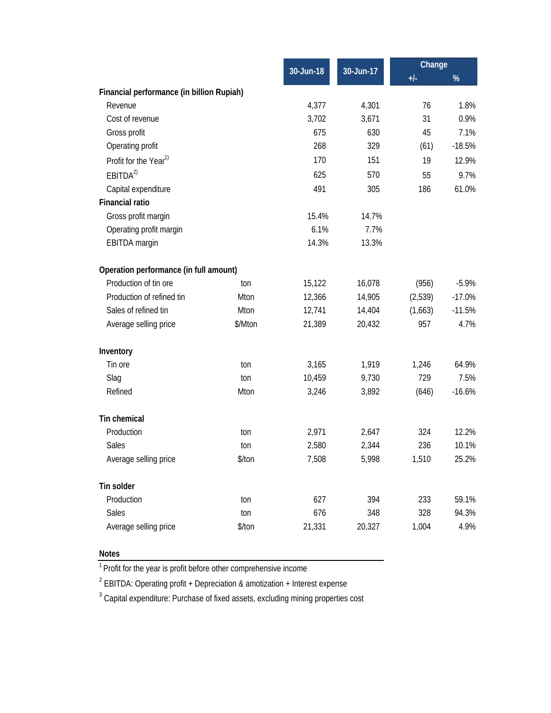|                                           |         | 30-Jun-18 | 30-Jun-17 | Change  |          |
|-------------------------------------------|---------|-----------|-----------|---------|----------|
|                                           |         |           |           | $+/-$   | %        |
| Financial performance (in billion Rupiah) |         |           |           |         |          |
| Revenue                                   |         | 4,377     | 4,301     | 76      | 1.8%     |
| Cost of revenue                           |         | 3,702     | 3,671     | 31      | 0.9%     |
| Gross profit                              |         | 675       | 630       | 45      | 7.1%     |
| Operating profit                          |         | 268       | 329       | (61)    | $-18.5%$ |
| Profit for the Year <sup>1)</sup>         |         | 170       | 151       | 19      | 12.9%    |
| EBITDA <sup>2</sup>                       |         | 625       | 570       | 55      | 9.7%     |
| Capital expenditure                       |         | 491       | 305       | 186     | 61.0%    |
| <b>Financial ratio</b>                    |         |           |           |         |          |
| Gross profit margin                       |         | 15.4%     | 14.7%     |         |          |
| Operating profit margin                   |         | 6.1%      | 7.7%      |         |          |
| EBITDA margin                             |         | 14.3%     | 13.3%     |         |          |
| Operation performance (in full amount)    |         |           |           |         |          |
| Production of tin ore                     | ton     | 15,122    | 16,078    | (956)   | $-5.9%$  |
| Production of refined tin                 | Mton    | 12,366    | 14,905    | (2,539) | $-17.0%$ |
| Sales of refined tin                      | Mton    | 12,741    | 14,404    | (1,663) | $-11.5%$ |
| Average selling price                     | \$/Mton | 21,389    | 20,432    | 957     | 4.7%     |
| Inventory                                 |         |           |           |         |          |
| Tin ore                                   | ton     | 3,165     | 1,919     | 1,246   | 64.9%    |
| Slag                                      | ton     | 10,459    | 9,730     | 729     | 7.5%     |
| Refined                                   | Mton    | 3,246     | 3,892     | (646)   | $-16.6%$ |
| <b>Tin chemical</b>                       |         |           |           |         |          |
| Production                                | ton     | 2,971     | 2,647     | 324     | 12.2%    |
| Sales                                     | ton     | 2,580     | 2,344     | 236     | 10.1%    |
| Average selling price                     | \$/ton  | 7,508     | 5,998     | 1,510   | 25.2%    |
| Tin solder                                |         |           |           |         |          |
| Production                                | ton     | 627       | 394       | 233     | 59.1%    |
| Sales                                     | ton     | 676       | 348       | 328     | 94.3%    |
| Average selling price                     | \$/ton  | 21,331    | 20,327    | 1,004   | 4.9%     |

#### **Notes**

1 Profit for the year is profit before other comprehensive income

<sup>2</sup> EBITDA: Operating profit + Depreciation & amotization + Interest expense

 $3$  Capital expenditure: Purchase of fixed assets, excluding mining properties cost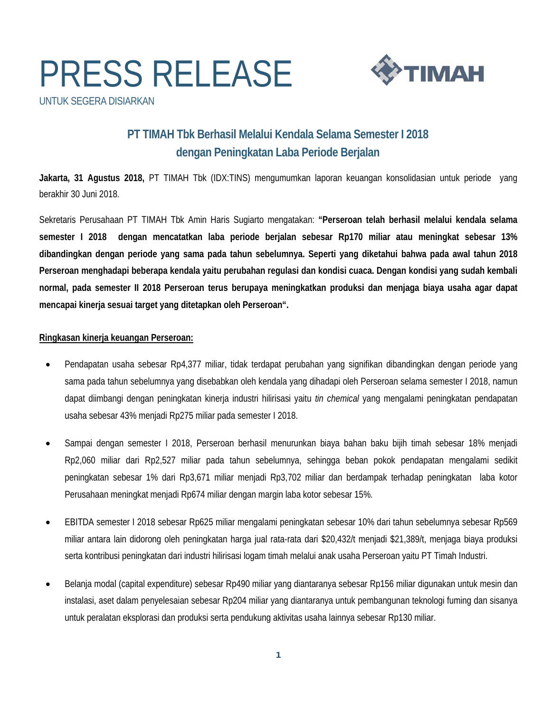# PRESS RELEASE UNTUK SEGERA DISIARKAN



### **PT TIMAH Tbk Berhasil Melalui Kendala Selama Semester I 2018 dengan Peningkatan Laba Periode Berjalan**

**Jakarta, 31 Agustus 2018,** PT TIMAH Tbk (IDX:TINS) mengumumkan laporan keuangan konsolidasian untuk periode yang berakhir 30 Juni 2018.

Sekretaris Perusahaan PT TIMAH Tbk Amin Haris Sugiarto mengatakan: **"Perseroan telah berhasil melalui kendala selama semester I 2018 dengan mencatatkan laba periode berjalan sebesar Rp170 miliar atau meningkat sebesar 13% dibandingkan dengan periode yang sama pada tahun sebelumnya. Seperti yang diketahui bahwa pada awal tahun 2018 Perseroan menghadapi beberapa kendala yaitu perubahan regulasi dan kondisi cuaca. Dengan kondisi yang sudah kembali normal, pada semester II 2018 Perseroan terus berupaya meningkatkan produksi dan menjaga biaya usaha agar dapat mencapai kinerja sesuai target yang ditetapkan oleh Perseroan".** 

### **Ringkasan kinerja keuangan Perseroan:**

- Pendapatan usaha sebesar Rp4,377 miliar, tidak terdapat perubahan yang signifikan dibandingkan dengan periode yang sama pada tahun sebelumnya yang disebabkan oleh kendala yang dihadapi oleh Perseroan selama semester I 2018, namun dapat diimbangi dengan peningkatan kinerja industri hilirisasi yaitu *tin chemical* yang mengalami peningkatan pendapatan usaha sebesar 43% menjadi Rp275 miliar pada semester I 2018.
- Sampai dengan semester I 2018, Perseroan berhasil menurunkan biaya bahan baku bijih timah sebesar 18% menjadi Rp2,060 miliar dari Rp2,527 miliar pada tahun sebelumnya, sehingga beban pokok pendapatan mengalami sedikit peningkatan sebesar 1% dari Rp3,671 miliar menjadi Rp3,702 miliar dan berdampak terhadap peningkatan laba kotor Perusahaan meningkat menjadi Rp674 miliar dengan margin laba kotor sebesar 15%.
- EBITDA semester I 2018 sebesar Rp625 miliar mengalami peningkatan sebesar 10% dari tahun sebelumnya sebesar Rp569 miliar antara lain didorong oleh peningkatan harga jual rata-rata dari \$20,432/t menjadi \$21,389/t, menjaga biaya produksi serta kontribusi peningkatan dari industri hilirisasi logam timah melalui anak usaha Perseroan yaitu PT Timah Industri.
- Belanja modal (capital expenditure) sebesar Rp490 miliar yang diantaranya sebesar Rp156 miliar digunakan untuk mesin dan instalasi, aset dalam penyelesaian sebesar Rp204 miliar yang diantaranya untuk pembangunan teknologi fuming dan sisanya untuk peralatan eksplorasi dan produksi serta pendukung aktivitas usaha lainnya sebesar Rp130 miliar.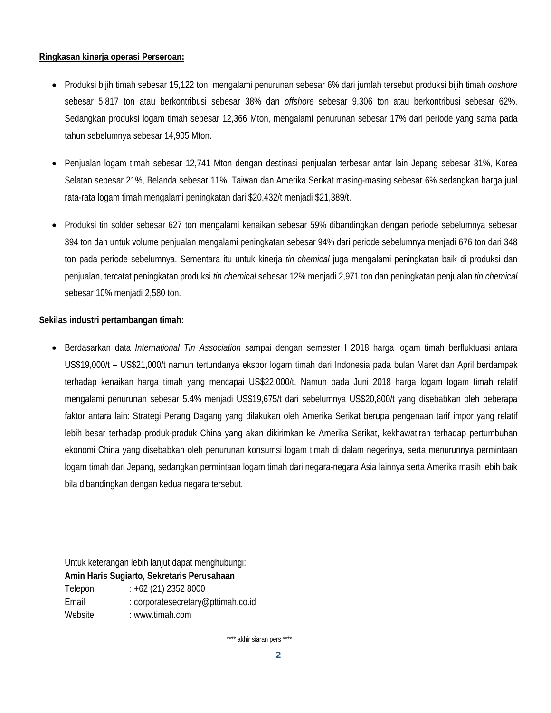### **Ringkasan kinerja operasi Perseroan:**

- Produksi bijih timah sebesar 15,122 ton, mengalami penurunan sebesar 6% dari jumlah tersebut produksi bijih timah *onshore*  sebesar 5,817 ton atau berkontribusi sebesar 38% dan *offshore* sebesar 9,306 ton atau berkontribusi sebesar 62%. Sedangkan produksi logam timah sebesar 12,366 Mton, mengalami penurunan sebesar 17% dari periode yang sama pada tahun sebelumnya sebesar 14,905 Mton.
- Penjualan logam timah sebesar 12,741 Mton dengan destinasi penjualan terbesar antar lain Jepang sebesar 31%, Korea Selatan sebesar 21%, Belanda sebesar 11%, Taiwan dan Amerika Serikat masing-masing sebesar 6% sedangkan harga jual rata-rata logam timah mengalami peningkatan dari \$20,432/t menjadi \$21,389/t.
- Produksi tin solder sebesar 627 ton mengalami kenaikan sebesar 59% dibandingkan dengan periode sebelumnya sebesar 394 ton dan untuk volume penjualan mengalami peningkatan sebesar 94% dari periode sebelumnya menjadi 676 ton dari 348 ton pada periode sebelumnya. Sementara itu untuk kinerja *tin chemical* juga mengalami peningkatan baik di produksi dan penjualan, tercatat peningkatan produksi *tin chemical* sebesar 12% menjadi 2,971 ton dan peningkatan penjualan *tin chemical* sebesar 10% menjadi 2,580 ton.

### **Sekilas industri pertambangan timah:**

 Berdasarkan data *International Tin Association* sampai dengan semester I 2018 harga logam timah berfluktuasi antara US\$19,000/t – US\$21,000/t namun tertundanya ekspor logam timah dari Indonesia pada bulan Maret dan April berdampak terhadap kenaikan harga timah yang mencapai US\$22,000/t. Namun pada Juni 2018 harga logam logam timah relatif mengalami penurunan sebesar 5.4% menjadi US\$19,675/t dari sebelumnya US\$20,800/t yang disebabkan oleh beberapa faktor antara lain: Strategi Perang Dagang yang dilakukan oleh Amerika Serikat berupa pengenaan tarif impor yang relatif lebih besar terhadap produk-produk China yang akan dikirimkan ke Amerika Serikat, kekhawatiran terhadap pertumbuhan ekonomi China yang disebabkan oleh penurunan konsumsi logam timah di dalam negerinya, serta menurunnya permintaan logam timah dari Jepang, sedangkan permintaan logam timah dari negara-negara Asia lainnya serta Amerika masih lebih baik bila dibandingkan dengan kedua negara tersebut.

Untuk keterangan lebih lanjut dapat menghubungi: **Amin Haris Sugiarto, Sekretaris Perusahaan**  Telepon : +62 (21) 2352 8000 Email : corporatesecretary@pttimah.co.id Website : www.timah.com

\*\*\*\* akhir siaran pers \*\*\*\*